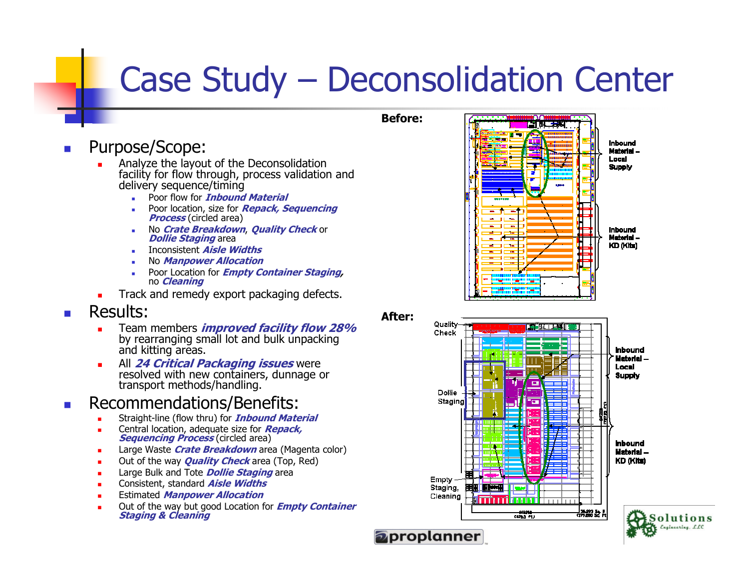## Case Study – Deconsolidation Center

Before:

After:

- $\overline{\phantom{a}}$  Purpose/Scope:
	- Г Analyze the layout of the Deconsolidation facility for flow through, process validation and delivery sequence/timing
		- **-** Poor flow for *Inbound Material* ■
		- Poor location, size for **Repack, Sequencing** Process (circled area)
		- No *Crate Breakdown, Quality Check* or *Dollie Staging* area<br>Dollie *Staging* area<br>- Dinconsistent *Aisle Widths*
		- **I**nconsistent *Aisle Widths*
		- No Manpower Allocation
		- Poor Location for *Empty Container Staging,* no *Cleaning*
	- **Track and remedy export packaging defects.** ш

## $\overline{\phantom{a}}$ Results:

- ш Team members *improved facility flow 28%* by rearranging small lot and bulk unpacking and kitting areas.
- **All 24 Critical Packaging issues** Г resolved with new containers, dunnage or transport methods/handling.

## Т. Recommendations/Benefits:

- L Straight-line (flow thru) for **Inbound Material**
- L Central location, adequate size for **Repack**, Sequencing Process (circled area)
- Г Large Waste *Crate Breakdown* area (Magenta color)<br>Cytechlaswyn **Gynlity Charleswy** (Tay Dad)
- Г **Dut of the way** *Quality Check* **area (Top, Red)**<br> **Current Contract Arms** (Top, Red)
- Г Large Bulk and Tote **Dollie Staging** area
- Г Consistent, standard **Aisle Widths**
- **Estimated** *Manpower Allocation* Г
- Out of the way but good Location for **Empty Container** Г Staging & Cleaning





**Inbound** Material -KD (Kits)

\_|96293.50.M<br>CD72503Q.F

— 148,281—<br>கோவி ரிப



Empty Staging, Cleaning